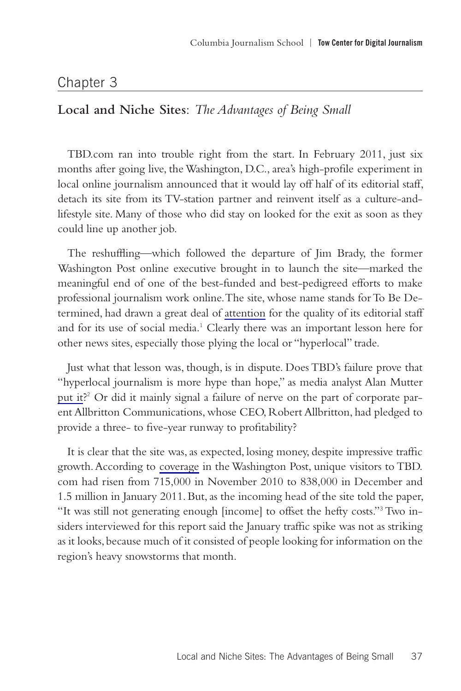## Chapter 3

## **Local and Niche Sites**: *The Advantages of Being Small*

TBD.com ran into trouble right from the start. In February 2011, just six months after going live, the Washington, D.C., area's high-profile experiment in local online journalism announced that it would lay off half of its editorial staff, detach its site from its TV-station partner and reinvent itself as a culture-andlifestyle site. Many of those who did stay on looked for the exit as soon as they could line up another job.

The reshuffling—which followed the departure of Jim Brady, the former Washington Post online executive brought in to launch the site—marked the meaningful end of one of the best-funded and best-pedigreed efforts to make professional journalism work online. The site, whose name stands for To Be Determined, had drawn a great deal of [attention](http://www.niemanlab.org/2010/08/six-reasons-to-watch-local-news-project-tbds-launch-next-week/) for the quality of its editorial staff and for its use of social media.<sup>1</sup> Clearly there was an important lesson here for other news sites, especially those plying the local or "hyperlocal" trade.

Just what that lesson was, though, is in dispute. Does TBD's failure prove that "hyperlocal journalism is more hype than hope," as media analyst Alan Mutter [put it?](http://newsosaur.blogspot.com/2011/02/hyperlocals-like-tbd-more-hype-than.html)<sup>2</sup> Or did it mainly signal a failure of nerve on the part of corporate parent Allbritton Communications, whose CEO, Robert Allbritton, had pledged to provide a three- to five-year runway to profitability?

It is clear that the site was, as expected, losing money, despite impressive traffic growth. According to [coverage](http://www.washingtonpost.com/wp-dyn/content/article/2011/02/23/AR2011022303752.html) in the Washington Post, unique visitors to TBD. com had risen from 715,000 in November 2010 to 838,000 in December and 1.5 million in January 2011. But, as the incoming head of the site told the paper, "It was still not generating enough [income] to offset the hefty costs."<sup>3</sup> Two insiders interviewed for this report said the January traffic spike was not as striking as it looks, because much of it consisted of people looking for information on the region's heavy snowstorms that month.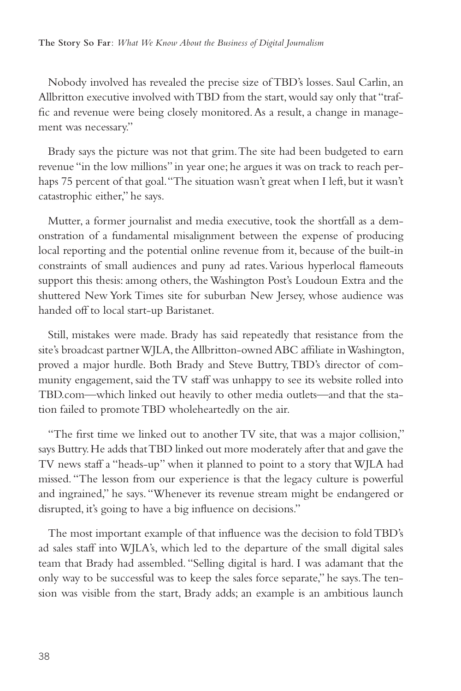Nobody involved has revealed the precise size of TBD's losses. Saul Carlin, an Allbritton executive involved with TBD from the start, would say only that "traffic and revenue were being closely monitored. As a result, a change in management was necessary."

Brady says the picture was not that grim. The site had been budgeted to earn revenue "in the low millions" in year one; he argues it was on track to reach perhaps 75 percent of that goal. "The situation wasn't great when I left, but it wasn't catastrophic either," he says.

Mutter, a former journalist and media executive, took the shortfall as a demonstration of a fundamental misalignment between the expense of producing local reporting and the potential online revenue from it, because of the built-in constraints of small audiences and puny ad rates. Various hyperlocal flameouts support this thesis: among others, the Washington Post's Loudoun Extra and the shuttered New York Times site for suburban New Jersey, whose audience was handed off to local start-up Baristanet.

Still, mistakes were made. Brady has said repeatedly that resistance from the site's broadcast partner WJLA, the Allbritton-owned ABC affiliate in Washington, proved a major hurdle. Both Brady and Steve Buttry, TBD's director of community engagement, said the TV staff was unhappy to see its website rolled into TBD.com—which linked out heavily to other media outlets—and that the station failed to promote TBD wholeheartedly on the air.

"The first time we linked out to another TV site, that was a major collision," says Buttry. He adds that TBD linked out more moderately after that and gave the TV news staff a "heads-up" when it planned to point to a story that WJLA had missed. "The lesson from our experience is that the legacy culture is powerful and ingrained," he says. "Whenever its revenue stream might be endangered or disrupted, it's going to have a big influence on decisions."

The most important example of that influence was the decision to fold TBD's ad sales staff into WJLA's, which led to the departure of the small digital sales team that Brady had assembled. "Selling digital is hard. I was adamant that the only way to be successful was to keep the sales force separate," he says. The tension was visible from the start, Brady adds; an example is an ambitious launch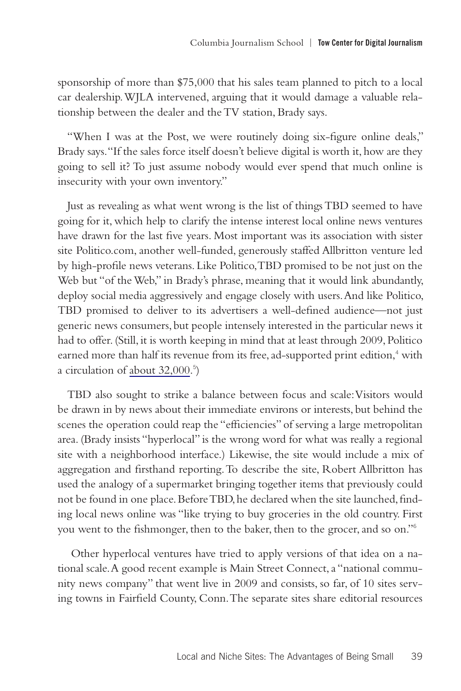sponsorship of more than \$75,000 that his sales team planned to pitch to a local car dealership. WJLA intervened, arguing that it would damage a valuable relationship between the dealer and the TV station, Brady says.

"When I was at the Post, we were routinely doing six-figure online deals," Brady says. "If the sales force itself doesn't believe digital is worth it, how are they going to sell it? To just assume nobody would ever spend that much online is insecurity with your own inventory."

Just as revealing as what went wrong is the list of things TBD seemed to have going for it, which help to clarify the intense interest local online news ventures have drawn for the last five years. Most important was its association with sister site Politico.com, another well-funded, generously staffed Allbritton venture led by high-profile news veterans. Like Politico, TBD promised to be not just on the Web but "of the Web," in Brady's phrase, meaning that it would link abundantly, deploy social media aggressively and engage closely with users. And like Politico, TBD promised to deliver to its advertisers a well-defined audience—not just generic news consumers, but people intensely interested in the particular news it had to offer. (Still, it is worth keeping in mind that at least through 2009, Politico earned more than half its revenue from its free, ad-supported print edition,<sup>4</sup> with a circulation of [about 32,000](http://www.vanityfair.com/politics/features/2009/08/wolff200908).<sup>5</sup>)

TBD also sought to strike a balance between focus and scale: Visitors would be drawn in by news about their immediate environs or interests, but behind the scenes the operation could reap the "efficiencies" of serving a large metropolitan area. (Brady insists "hyperlocal" is the wrong word for what was really a regional site with a neighborhood interface.) Likewise, the site would include a mix of aggregation and firsthand reporting. To describe the site, Robert Allbritton has used the analogy of a supermarket bringing together items that previously could not be found in one place. Before TBD, he declared when the site launched, finding local news online was "like trying to buy groceries in the old country. First you went to the fishmonger, then to the baker, then to the grocer, and so on."<sup>6</sup>

 Other hyperlocal ventures have tried to apply versions of that idea on a national scale. A good recent example is Main Street Connect, a "national community news company" that went live in 2009 and consists, so far, of 10 sites serving towns in Fairfield County, Conn. The separate sites share editorial resources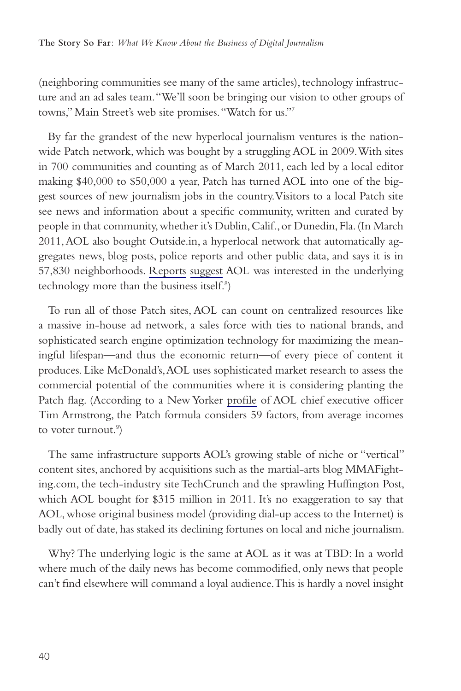(neighboring communities see many of the same articles), technology infrastructure and an ad sales team. "We'll soon be bringing our vision to other groups of towns," Main Street's web site promises. "Watch for us."<sup>7</sup>

By far the grandest of the new hyperlocal journalism ventures is the nationwide Patch network, which was bought by a struggling AOL in 2009. With sites in 700 communities and counting as of March 2011, each led by a local editor making \$40,000 to \$50,000 a year, Patch has turned AOL into one of the biggest sources of new journalism jobs in the country. Visitors to a local Patch site see news and information about a specific community, written and curated by people in that community, whether it's Dublin, Calif., or Dunedin, Fla. (In March 2011, AOL also bought Outside.in, a hyperlocal network that automatically aggregates news, blog posts, police reports and other public data, and says it is in 57,830 neighborhoods. [Reports](http://paidcontent.org/article/419-aol-buying-outside.in/) [suggest](http://www.businessinsider.com/outside-in-2011-3) AOL was interested in the underlying technology more than the business itself.<sup>8</sup>)

To run all of those Patch sites, AOL can count on centralized resources like a massive in-house ad network, a sales force with ties to national brands, and sophisticated search engine optimization technology for maximizing the meaningful lifespan—and thus the economic return—of every piece of content it produces. Like McDonald's, AOL uses sophisticated market research to assess the commercial potential of the communities where it is considering planting the Patch flag. (According to a New Yorker [profile](http://www.newyorker.com/reporting/2011/01/24/110124fa_fact_auletta) of AOL chief executive officer Tim Armstrong, the Patch formula considers 59 factors, from average incomes to voter turnout.<sup>9</sup>)

The same infrastructure supports AOL's growing stable of niche or "vertical" content sites, anchored by acquisitions such as the martial-arts blog MMAFighting.com, the tech-industry site TechCrunch and the sprawling Huffington Post, which AOL bought for \$315 million in 2011. It's no exaggeration to say that AOL, whose original business model (providing dial-up access to the Internet) is badly out of date, has staked its declining fortunes on local and niche journalism.

Why? The underlying logic is the same at AOL as it was at TBD: In a world where much of the daily news has become commodified, only news that people can't find elsewhere will command a loyal audience. This is hardly a novel insight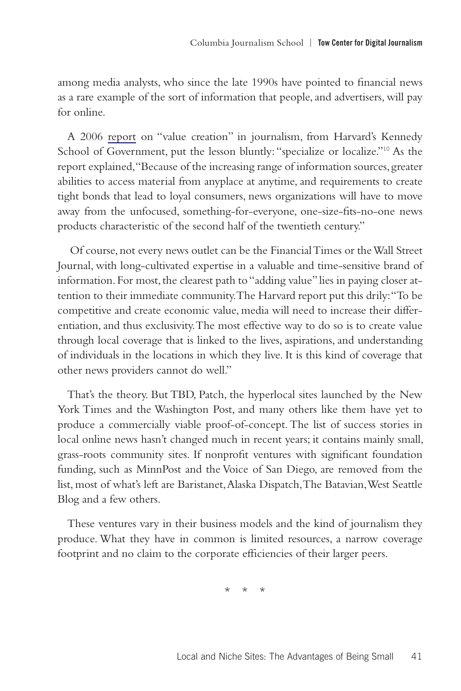among media analysts, who since the late 1990s have pointed to financial news as a rare example of the sort of information that people, and advertisers, will pay for online.

A 2006 [report](http://www.robertpicard.net/PDFFiles/ValueCreationandNewsOrgs.pdf) on "value creation" in journalism, from Harvard's Kennedy School of Government, put the lesson bluntly: "specialize or localize."<sup>10</sup> As the report explained, "Because of the increasing range of information sources, greater abilities to access material from anyplace at anytime, and requirements to create tight bonds that lead to loyal consumers, news organizations will have to move away from the unfocused, something-for-everyone, one-size-fits-no-one news products characteristic of the second half of the twentieth century."

 Of course, not every news outlet can be the Financial Times or the Wall Street Journal, with long-cultivated expertise in a valuable and time-sensitive brand of information. For most, the clearest path to "adding value" lies in paying closer attention to their immediate community. The Harvard report put this drily: "To be competitive and create economic value, media will need to increase their differentiation, and thus exclusivity. The most effective way to do so is to create value through local coverage that is linked to the lives, aspirations, and understanding of individuals in the locations in which they live. It is this kind of coverage that other news providers cannot do well."

That's the theory. But TBD, Patch, the hyperlocal sites launched by the New York Times and the Washington Post, and many others like them have yet to produce a commercially viable proof-of-concept. The list of success stories in local online news hasn't changed much in recent years; it contains mainly small, grass-roots community sites. If nonprofit ventures with significant foundation funding, such as MinnPost and the Voice of San Diego, are removed from the list, most of what's left are Baristanet, Alaska Dispatch, The Batavian, West Seattle Blog and a few others.

These ventures vary in their business models and the kind of journalism they produce. What they have in common is limited resources, a narrow coverage footprint and no claim to the corporate efficiencies of their larger peers.

\* \* \*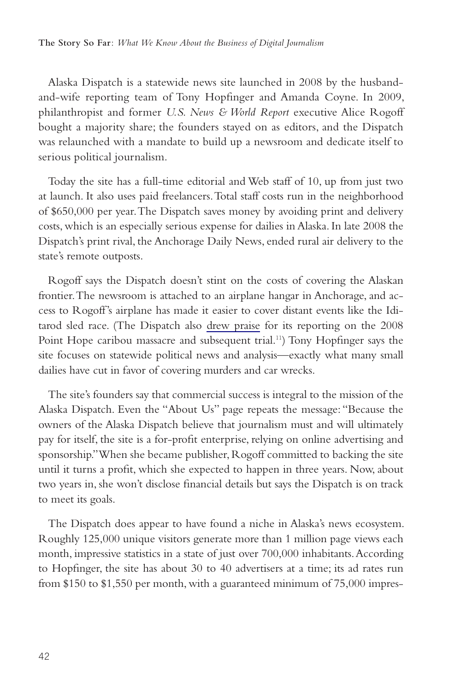Alaska Dispatch is a statewide news site launched in 2008 by the husbandand-wife reporting team of Tony Hopfinger and Amanda Coyne. In 2009, philanthropist and former *U.S. News & World Report* executive Alice Rogoff bought a majority share; the founders stayed on as editors, and the Dispatch was relaunched with a mandate to build up a newsroom and dedicate itself to serious political journalism.

Today the site has a full-time editorial and Web staff of 10, up from just two at launch. It also uses paid freelancers. Total staff costs run in the neighborhood of \$650,000 per year. The Dispatch saves money by avoiding print and delivery costs, which is an especially serious expense for dailies in Alaska. In late 2008 the Dispatch's print rival, the Anchorage Daily News, ended rural air delivery to the state's remote outposts.

Rogoff says the Dispatch doesn't stint on the costs of covering the Alaskan frontier. The newsroom is attached to an airplane hangar in Anchorage, and access to Rogoff's airplane has made it easier to cover distant events like the Iditarod sled race. (The Dispatch also [drew praise](http://www.ajr.org/article_printable.asp?id=4981) for its reporting on the 2008 Point Hope caribou massacre and subsequent trial.<sup>11</sup>) Tony Hopfinger says the site focuses on statewide political news and analysis—exactly what many small dailies have cut in favor of covering murders and car wrecks.

The site's founders say that commercial success is integral to the mission of the Alaska Dispatch. Even the "About Us" page repeats the message: "Because the owners of the Alaska Dispatch believe that journalism must and will ultimately pay for itself, the site is a for-profit enterprise, relying on online advertising and sponsorship." When she became publisher, Rogoff committed to backing the site until it turns a profit, which she expected to happen in three years. Now, about two years in, she won't disclose financial details but says the Dispatch is on track to meet its goals.

The Dispatch does appear to have found a niche in Alaska's news ecosystem. Roughly 125,000 unique visitors generate more than 1 million page views each month, impressive statistics in a state of just over 700,000 inhabitants. According to Hopfinger, the site has about 30 to 40 advertisers at a time; its ad rates run from \$150 to \$1,550 per month, with a guaranteed minimum of 75,000 impres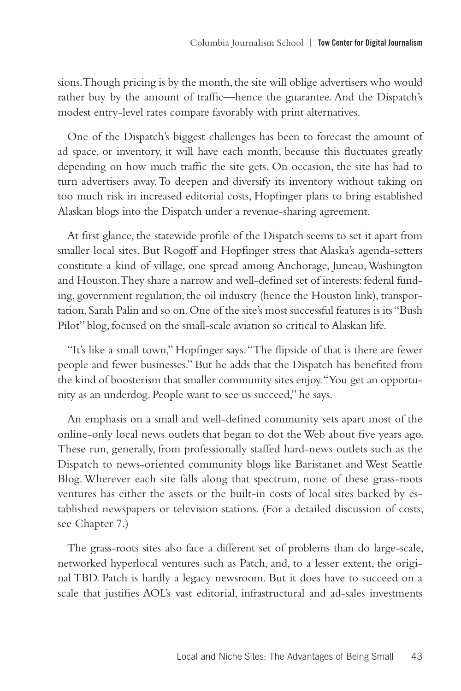sions. Though pricing is by the month, the site will oblige advertisers who would rather buy by the amount of traffic—hence the guarantee. And the Dispatch's modest entry-level rates compare favorably with print alternatives.

One of the Dispatch's biggest challenges has been to forecast the amount of ad space, or inventory, it will have each month, because this fluctuates greatly depending on how much traffic the site gets. On occasion, the site has had to turn advertisers away. To deepen and diversify its inventory without taking on too much risk in increased editorial costs, Hopfinger plans to bring established Alaskan blogs into the Dispatch under a revenue-sharing agreement.

At first glance, the statewide profile of the Dispatch seems to set it apart from smaller local sites. But Rogoff and Hopfinger stress that Alaska's agenda-setters constitute a kind of village, one spread among Anchorage, Juneau, Washington and Houston. They share a narrow and well-defined set of interests: federal funding, government regulation, the oil industry (hence the Houston link), transportation, Sarah Palin and so on. One of the site's most successful features is its "Bush Pilot" blog, focused on the small-scale aviation so critical to Alaskan life.

"It's like a small town," Hopfinger says. "The flipside of that is there are fewer people and fewer businesses." But he adds that the Dispatch has benefited from the kind of boosterism that smaller community sites enjoy. "You get an opportunity as an underdog. People want to see us succeed," he says.

An emphasis on a small and well-defined community sets apart most of the online-only local news outlets that began to dot the Web about five years ago. These run, generally, from professionally staffed hard-news outlets such as the Dispatch to news-oriented community blogs like Baristanet and West Seattle Blog. Wherever each site falls along that spectrum, none of these grass-roots ventures has either the assets or the built-in costs of local sites backed by established newspapers or television stations. (For a detailed discussion of costs, see Chapter 7.)

The grass-roots sites also face a different set of problems than do large-scale, networked hyperlocal ventures such as Patch, and, to a lesser extent, the original TBD. Patch is hardly a legacy newsroom. But it does have to succeed on a scale that justifies AOL's vast editorial, infrastructural and ad-sales investments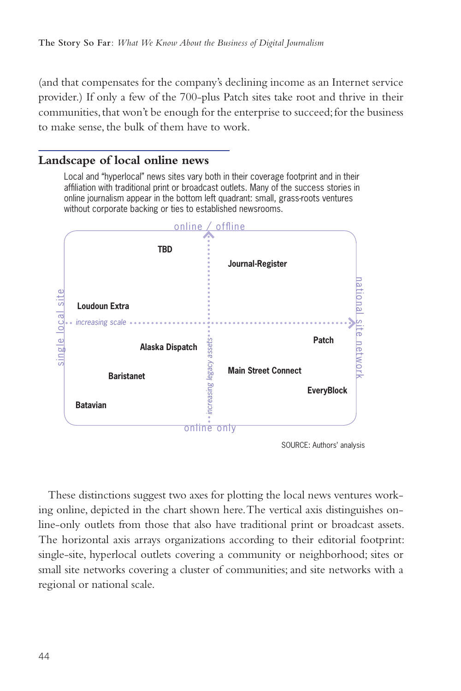(and that compensates for the company's declining income as an Internet service provider.) If only a few of the 700-plus Patch sites take root and thrive in their communities, that won't be enough for the enterprise to succeed; for the business to make sense, the bulk of them have to work.

## **Landscape of local online news**

Local and "hyperlocal" news sites vary both in their coverage footprint and in their affiliation with traditional print or broadcast outlets. Many of the success stories in online journalism appear in the bottom left quadrant: small, grass-roots ventures without corporate backing or ties to established newsrooms.



SOURCE: Authors' analysis

These distinctions suggest two axes for plotting the local news ventures working online, depicted in the chart shown here. The vertical axis distinguishes online-only outlets from those that also have traditional print or broadcast assets. The horizontal axis arrays organizations according to their editorial footprint: single-site, hyperlocal outlets covering a community or neighborhood; sites or small site networks covering a cluster of communities; and site networks with a regional or national scale.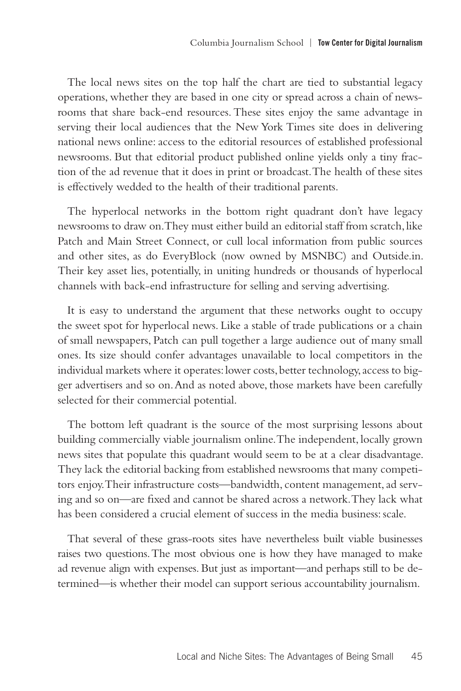The local news sites on the top half the chart are tied to substantial legacy operations, whether they are based in one city or spread across a chain of newsrooms that share back-end resources. These sites enjoy the same advantage in serving their local audiences that the New York Times site does in delivering national news online: access to the editorial resources of established professional newsrooms. But that editorial product published online yields only a tiny fraction of the ad revenue that it does in print or broadcast. The health of these sites is effectively wedded to the health of their traditional parents.

The hyperlocal networks in the bottom right quadrant don't have legacy newsrooms to draw on. They must either build an editorial staff from scratch, like Patch and Main Street Connect, or cull local information from public sources and other sites, as do EveryBlock (now owned by MSNBC) and Outside.in. Their key asset lies, potentially, in uniting hundreds or thousands of hyperlocal channels with back-end infrastructure for selling and serving advertising.

It is easy to understand the argument that these networks ought to occupy the sweet spot for hyperlocal news. Like a stable of trade publications or a chain of small newspapers, Patch can pull together a large audience out of many small ones. Its size should confer advantages unavailable to local competitors in the individual markets where it operates: lower costs, better technology, access to bigger advertisers and so on. And as noted above, those markets have been carefully selected for their commercial potential.

The bottom left quadrant is the source of the most surprising lessons about building commercially viable journalism online. The independent, locally grown news sites that populate this quadrant would seem to be at a clear disadvantage. They lack the editorial backing from established newsrooms that many competitors enjoy. Their infrastructure costs—bandwidth, content management, ad serving and so on—are fixed and cannot be shared across a network. They lack what has been considered a crucial element of success in the media business: scale.

That several of these grass-roots sites have nevertheless built viable businesses raises two questions. The most obvious one is how they have managed to make ad revenue align with expenses. But just as important—and perhaps still to be determined—is whether their model can support serious accountability journalism.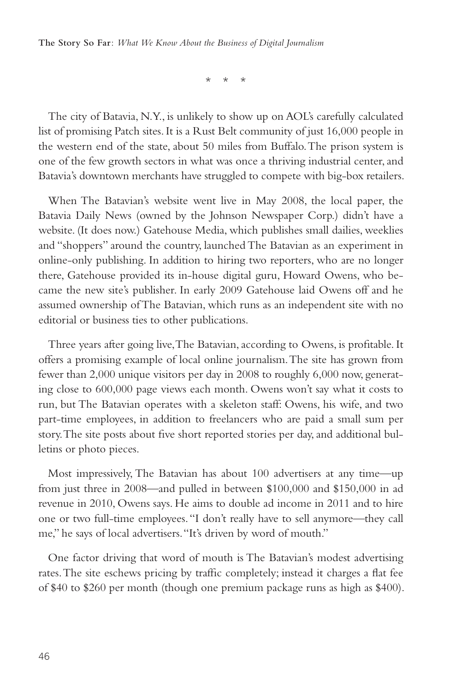\* \* \*

The city of Batavia, N.Y., is unlikely to show up on AOL's carefully calculated list of promising Patch sites. It is a Rust Belt community of just 16,000 people in the western end of the state, about 50 miles from Buffalo. The prison system is one of the few growth sectors in what was once a thriving industrial center, and Batavia's downtown merchants have struggled to compete with big-box retailers.

When The Batavian's website went live in May 2008, the local paper, the Batavia Daily News (owned by the Johnson Newspaper Corp.) didn't have a website. (It does now.) Gatehouse Media, which publishes small dailies, weeklies and "shoppers" around the country, launched The Batavian as an experiment in online-only publishing. In addition to hiring two reporters, who are no longer there, Gatehouse provided its in-house digital guru, Howard Owens, who became the new site's publisher. In early 2009 Gatehouse laid Owens off and he assumed ownership of The Batavian, which runs as an independent site with no editorial or business ties to other publications.

Three years after going live, The Batavian, according to Owens, is profitable. It offers a promising example of local online journalism. The site has grown from fewer than 2,000 unique visitors per day in 2008 to roughly 6,000 now, generating close to 600,000 page views each month. Owens won't say what it costs to run, but The Batavian operates with a skeleton staff: Owens, his wife, and two part-time employees, in addition to freelancers who are paid a small sum per story. The site posts about five short reported stories per day, and additional bulletins or photo pieces.

Most impressively, The Batavian has about 100 advertisers at any time—up from just three in 2008—and pulled in between \$100,000 and \$150,000 in ad revenue in 2010, Owens says. He aims to double ad income in 2011 and to hire one or two full-time employees. "I don't really have to sell anymore—they call me," he says of local advertisers. "It's driven by word of mouth."

One factor driving that word of mouth is The Batavian's modest advertising rates. The site eschews pricing by traffic completely; instead it charges a flat fee of \$40 to \$260 per month (though one premium package runs as high as \$400).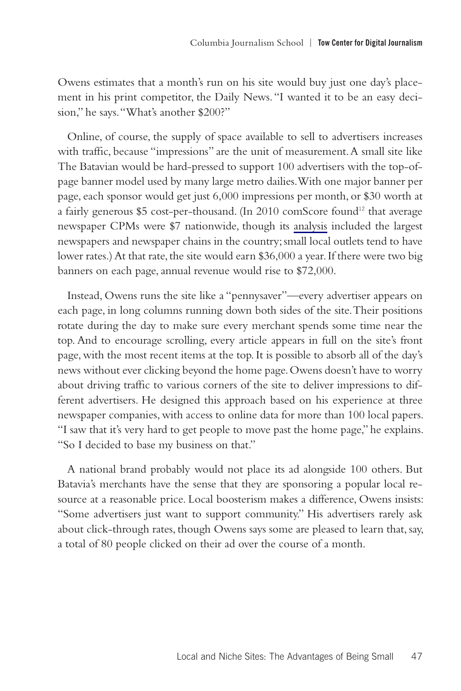Owens estimates that a month's run on his site would buy just one day's placement in his print competitor, the Daily News. "I wanted it to be an easy decision," he says. "What's another \$200?"

Online, of course, the supply of space available to sell to advertisers increases with traffic, because "impressions" are the unit of measurement. A small site like The Batavian would be hard-pressed to support 100 advertisers with the top-ofpage banner model used by many large metro dailies. With one major banner per page, each sponsor would get just 6,000 impressions per month, or \$30 worth at a fairly generous \$5 cost-per-thousand. (In 2010 comScore found<sup>12</sup> that average newspaper CPMs were \$7 nationwide, though its [analysis](http://www.comscore.com/Press_Events/Press_Releases/2010/6/The_New_York_Times_Ranks_as_Top_Online_Newspaper_According_to_May_2010_U.S._comScore_Media_Metrix_Data) included the largest newspapers and newspaper chains in the country; small local outlets tend to have lower rates.) At that rate, the site would earn \$36,000 a year. If there were two big banners on each page, annual revenue would rise to \$72,000.

Instead, Owens runs the site like a "pennysaver"—every advertiser appears on each page, in long columns running down both sides of the site. Their positions rotate during the day to make sure every merchant spends some time near the top. And to encourage scrolling, every article appears in full on the site's front page, with the most recent items at the top. It is possible to absorb all of the day's news without ever clicking beyond the home page. Owens doesn't have to worry about driving traffic to various corners of the site to deliver impressions to different advertisers. He designed this approach based on his experience at three newspaper companies, with access to online data for more than 100 local papers. "I saw that it's very hard to get people to move past the home page," he explains. "So I decided to base my business on that."

A national brand probably would not place its ad alongside 100 others. But Batavia's merchants have the sense that they are sponsoring a popular local resource at a reasonable price. Local boosterism makes a difference, Owens insists: "Some advertisers just want to support community." His advertisers rarely ask about click-through rates, though Owens says some are pleased to learn that, say, a total of 80 people clicked on their ad over the course of a month.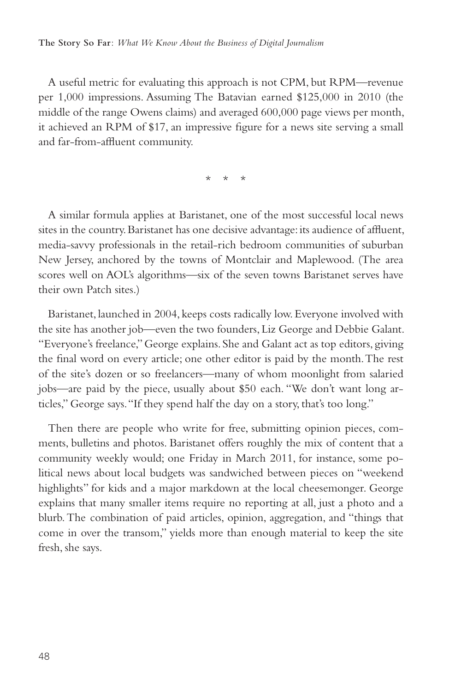A useful metric for evaluating this approach is not CPM, but RPM—revenue per 1,000 impressions. Assuming The Batavian earned \$125,000 in 2010 (the middle of the range Owens claims) and averaged 600,000 page views per month, it achieved an RPM of \$17, an impressive figure for a news site serving a small and far-from-affluent community.

\* \* \*

A similar formula applies at Baristanet, one of the most successful local news sites in the country. Baristanet has one decisive advantage: its audience of affluent, media-savvy professionals in the retail-rich bedroom communities of suburban New Jersey, anchored by the towns of Montclair and Maplewood. (The area scores well on AOL's algorithms—six of the seven towns Baristanet serves have their own Patch sites.)

Baristanet, launched in 2004, keeps costs radically low. Everyone involved with the site has another job—even the two founders, Liz George and Debbie Galant. "Everyone's freelance," George explains. She and Galant act as top editors, giving the final word on every article; one other editor is paid by the month. The rest of the site's dozen or so freelancers—many of whom moonlight from salaried jobs—are paid by the piece, usually about \$50 each. "We don't want long articles," George says. "If they spend half the day on a story, that's too long."

Then there are people who write for free, submitting opinion pieces, comments, bulletins and photos. Baristanet offers roughly the mix of content that a community weekly would; one Friday in March 2011, for instance, some political news about local budgets was sandwiched between pieces on "weekend highlights" for kids and a major markdown at the local cheesemonger. George explains that many smaller items require no reporting at all, just a photo and a blurb. The combination of paid articles, opinion, aggregation, and "things that come in over the transom," yields more than enough material to keep the site fresh, she says.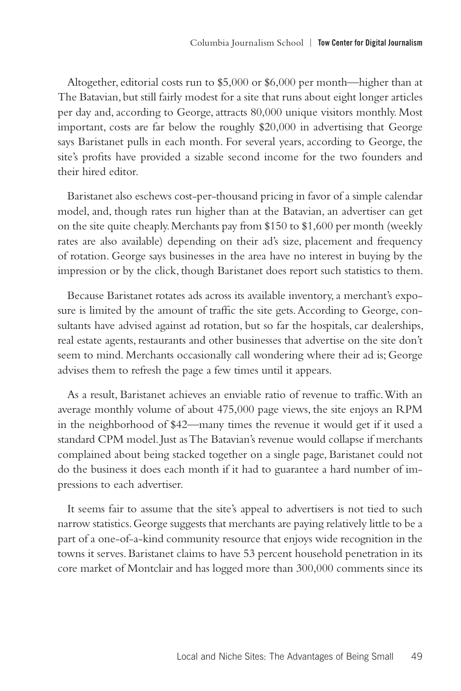Altogether, editorial costs run to \$5,000 or \$6,000 per month—higher than at The Batavian, but still fairly modest for a site that runs about eight longer articles per day and, according to George, attracts 80,000 unique visitors monthly. Most important, costs are far below the roughly \$20,000 in advertising that George says Baristanet pulls in each month. For several years, according to George, the site's profits have provided a sizable second income for the two founders and their hired editor.

Baristanet also eschews cost-per-thousand pricing in favor of a simple calendar model, and, though rates run higher than at the Batavian, an advertiser can get on the site quite cheaply. Merchants pay from \$150 to \$1,600 per month (weekly rates are also available) depending on their ad's size, placement and frequency of rotation. George says businesses in the area have no interest in buying by the impression or by the click, though Baristanet does report such statistics to them.

Because Baristanet rotates ads across its available inventory, a merchant's exposure is limited by the amount of traffic the site gets. According to George, consultants have advised against ad rotation, but so far the hospitals, car dealerships, real estate agents, restaurants and other businesses that advertise on the site don't seem to mind. Merchants occasionally call wondering where their ad is; George advises them to refresh the page a few times until it appears.

As a result, Baristanet achieves an enviable ratio of revenue to traffic. With an average monthly volume of about 475,000 page views, the site enjoys an RPM in the neighborhood of \$42—many times the revenue it would get if it used a standard CPM model. Just as The Batavian's revenue would collapse if merchants complained about being stacked together on a single page, Baristanet could not do the business it does each month if it had to guarantee a hard number of impressions to each advertiser.

It seems fair to assume that the site's appeal to advertisers is not tied to such narrow statistics. George suggests that merchants are paying relatively little to be a part of a one-of-a-kind community resource that enjoys wide recognition in the towns it serves. Baristanet claims to have 53 percent household penetration in its core market of Montclair and has logged more than 300,000 comments since its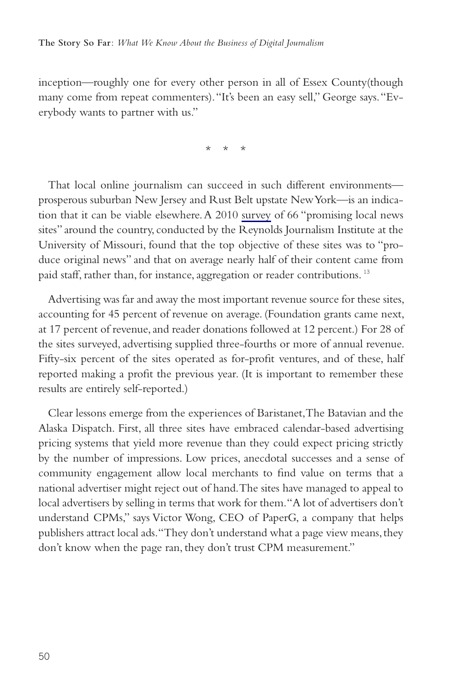inception—roughly one for every other person in all of Essex County(though many come from repeat commenters). "It's been an easy sell," George says. "Everybody wants to partner with us."

\* \* \*

That local online journalism can succeed in such different environments prosperous suburban New Jersey and Rust Belt upstate New York—is an indication that it can be viable elsewhere. A 2010 [survey](http://bit.ly/kIjVwv) of 66 "promising local news sites" around the country, conducted by the Reynolds Journalism Institute at the University of Missouri, found that the top objective of these sites was to "produce original news" and that on average nearly half of their content came from paid staff, rather than, for instance, aggregation or reader contributions.<sup>13</sup>

Advertising was far and away the most important revenue source for these sites, accounting for 45 percent of revenue on average. (Foundation grants came next, at 17 percent of revenue, and reader donations followed at 12 percent.) For 28 of the sites surveyed, advertising supplied three-fourths or more of annual revenue. Fifty-six percent of the sites operated as for-profit ventures, and of these, half reported making a profit the previous year. (It is important to remember these results are entirely self-reported.)

Clear lessons emerge from the experiences of Baristanet, The Batavian and the Alaska Dispatch. First, all three sites have embraced calendar-based advertising pricing systems that yield more revenue than they could expect pricing strictly by the number of impressions. Low prices, anecdotal successes and a sense of community engagement allow local merchants to find value on terms that a national advertiser might reject out of hand. The sites have managed to appeal to local advertisers by selling in terms that work for them. "A lot of advertisers don't understand CPMs," says Victor Wong, CEO of PaperG, a company that helps publishers attract local ads. "They don't understand what a page view means, they don't know when the page ran, they don't trust CPM measurement."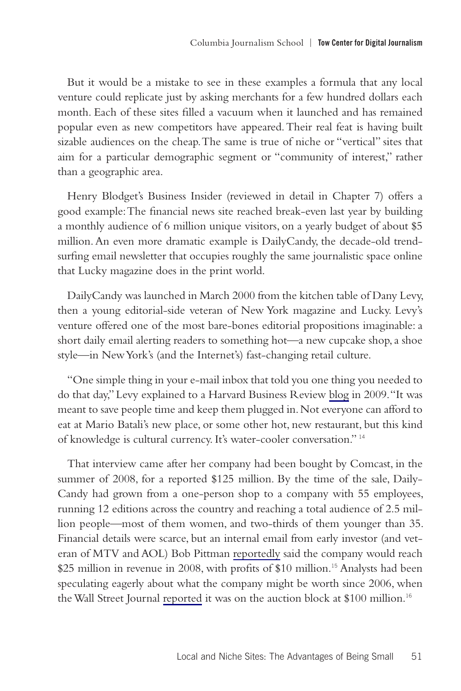But it would be a mistake to see in these examples a formula that any local venture could replicate just by asking merchants for a few hundred dollars each month. Each of these sites filled a vacuum when it launched and has remained popular even as new competitors have appeared. Their real feat is having built sizable audiences on the cheap. The same is true of niche or "vertical" sites that aim for a particular demographic segment or "community of interest," rather than a geographic area.

Henry Blodget's Business Insider (reviewed in detail in Chapter 7) offers a good example: The financial news site reached break-even last year by building a monthly audience of 6 million unique visitors, on a yearly budget of about \$5 million. An even more dramatic example is DailyCandy, the decade-old trendsurfing email newsletter that occupies roughly the same journalistic space online that Lucky magazine does in the print world.

DailyCandy was launched in March 2000 from the kitchen table of Dany Levy, then a young editorial-side veteran of New York magazine and Lucky. Levy's venture offered one of the most bare-bones editorial propositions imaginable: a short daily email alerting readers to something hot—a new cupcake shop, a shoe style—in New York's (and the Internet's) fast-changing retail culture.

"One simple thing in your e-mail inbox that told you one thing you needed to do that day," Levy explained to a Harvard Business Review [blog](http://blogs.hbr.org/tjan/2009/10/dailycandys-accidental-entrepr.html) in 2009. "It was meant to save people time and keep them plugged in. Not everyone can afford to eat at Mario Batali's new place, or some other hot, new restaurant, but this kind of knowledge is cultural currency. It's water-cooler conversation." <sup>14</sup>

That interview came after her company had been bought by Comcast, in the summer of 2008, for a reported \$125 million. By the time of the sale, Daily-Candy had grown from a one-person shop to a company with 55 employees, running 12 editions across the country and reaching a total audience of 2.5 million people—most of them women, and two-thirds of them younger than 35. Financial details were scarce, but an internal email from early investor (and veteran of MTV and AOL) Bob Pittman [reportedly](http://www.businessinsider.com/2008/8/comcast-buys-dailycandy-for-125-million-beats-out-viacom-for-newsletter-business) said the company would reach \$25 million in revenue in 2008, with profits of \$10 million.<sup>15</sup> Analysts had been speculating eagerly about what the company might be worth since 2006, when the Wall Street Journal [reported](http://online.wsj.com/public/article/SB113997217455874332-8imtM6FaRY0lWZY_qPVVUeMl_E4_20060222.html) it was on the auction block at \$100 million.<sup>16</sup>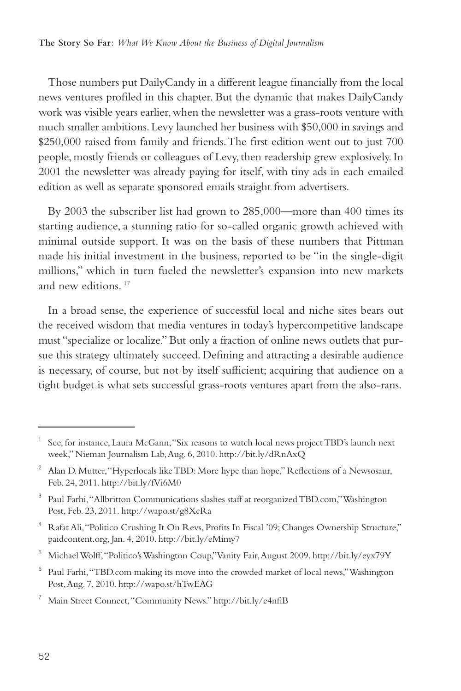Those numbers put DailyCandy in a different league financially from the local news ventures profiled in this chapter. But the dynamic that makes DailyCandy work was visible years earlier, when the newsletter was a grass-roots venture with much smaller ambitions. Levy launched her business with \$50,000 in savings and \$250,000 raised from family and friends. The first edition went out to just 700 people, mostly friends or colleagues of Levy, then readership grew explosively. In 2001 the newsletter was already paying for itself, with tiny ads in each emailed edition as well as separate sponsored emails straight from advertisers.

By 2003 the subscriber list had grown to 285,000—more than 400 times its starting audience, a stunning ratio for so-called organic growth achieved with minimal outside support. It was on the basis of these numbers that Pittman made his initial investment in the business, reported to be "in the single-digit millions," which in turn fueled the newsletter's expansion into new markets and new editions.<sup>17</sup>

In a broad sense, the experience of successful local and niche sites bears out the received wisdom that media ventures in today's hypercompetitive landscape must "specialize or localize." But only a fraction of online news outlets that pursue this strategy ultimately succeed. Defining and attracting a desirable audience is necessary, of course, but not by itself sufficient; acquiring that audience on a tight budget is what sets successful grass-roots ventures apart from the also-rans.

<sup>&</sup>lt;sup>1</sup> See, for instance, Laura McGann, "Six reasons to watch local news project TBD's launch next week," Nieman Journalism Lab, Aug. 6, 2010. http://bit.ly/dRnAxQ

<sup>&</sup>lt;sup>2</sup> Alan D. Mutter, "Hyperlocals like TBD: More hype than hope," Reflections of a Newsosaur, Feb. 24, 2011. http://bit.ly/fVi6M0

<sup>&</sup>lt;sup>3</sup> Paul Farhi, "Allbritton Communications slashes staff at reorganized TBD.com," Washington Post, Feb. 23, 2011. http://wapo.st/g8XcRa

<sup>&</sup>lt;sup>4</sup> Rafat Ali, "Politico Crushing It On Revs, Profits In Fiscal '09; Changes Ownership Structure," paidcontent.org, Jan. 4, 2010. http://bit.ly/eMimy7

<sup>&</sup>lt;sup>5</sup> Michael Wolff, "Politico's Washington Coup," Vanity Fair, August 2009. http://bit.ly/eyx79Y

 $6$  Paul Farhi, "TBD.com making its move into the crowded market of local news," Washington Post, Aug. 7, 2010. http://wapo.st/hTwEAG

<sup>7</sup> Main Street Connect, "Community News." http://bit.ly/e4nfiB